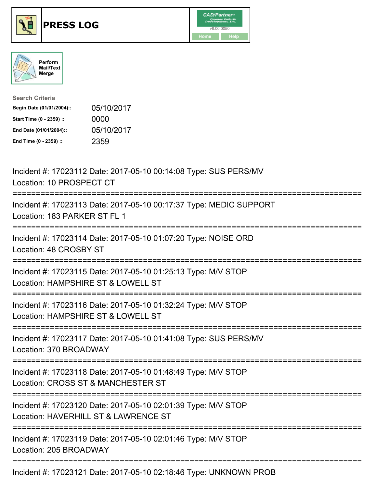





| <b>Search Criteria</b>    |            |
|---------------------------|------------|
| Begin Date (01/01/2004):: | 05/10/2017 |
| Start Time (0 - 2359) ::  | 0000       |
| End Date (01/01/2004)::   | 05/10/2017 |
| End Time (0 - 2359) ::    | 2359       |

| Incident #: 17023112 Date: 2017-05-10 00:14:08 Type: SUS PERS/MV<br>Location: 10 PROSPECT CT                                            |
|-----------------------------------------------------------------------------------------------------------------------------------------|
| Incident #: 17023113 Date: 2017-05-10 00:17:37 Type: MEDIC SUPPORT<br>Location: 183 PARKER ST FL 1                                      |
| Incident #: 17023114 Date: 2017-05-10 01:07:20 Type: NOISE ORD<br>Location: 48 CROSBY ST                                                |
| Incident #: 17023115 Date: 2017-05-10 01:25:13 Type: M/V STOP<br>Location: HAMPSHIRE ST & LOWELL ST<br>================================ |
| Incident #: 17023116 Date: 2017-05-10 01:32:24 Type: M/V STOP<br>Location: HAMPSHIRE ST & LOWELL ST                                     |
| Incident #: 17023117 Date: 2017-05-10 01:41:08 Type: SUS PERS/MV<br>Location: 370 BROADWAY                                              |
| Incident #: 17023118 Date: 2017-05-10 01:48:49 Type: M/V STOP<br>Location: CROSS ST & MANCHESTER ST                                     |
| Incident #: 17023120 Date: 2017-05-10 02:01:39 Type: M/V STOP<br>Location: HAVERHILL ST & LAWRENCE ST                                   |
| Incident #: 17023119 Date: 2017-05-10 02:01:46 Type: M/V STOP<br>Location: 205 BROADWAY                                                 |
|                                                                                                                                         |

Incident #: 17023121 Date: 2017-05-10 02:18:46 Type: UNKNOWN PROB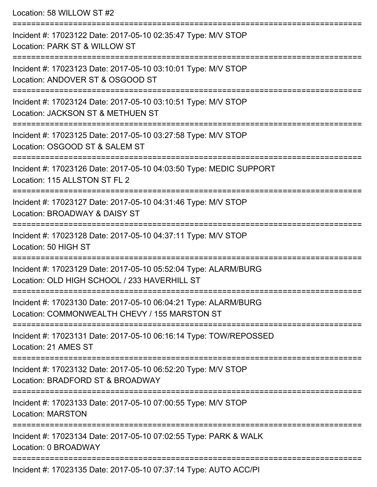Location: 58 WILLOW ST #2

| Incident #: 17023122 Date: 2017-05-10 02:35:47 Type: M/V STOP<br>Location: PARK ST & WILLOW ST                   |
|------------------------------------------------------------------------------------------------------------------|
| Incident #: 17023123 Date: 2017-05-10 03:10:01 Type: M/V STOP<br>Location: ANDOVER ST & OSGOOD ST                |
| Incident #: 17023124 Date: 2017-05-10 03:10:51 Type: M/V STOP<br>Location: JACKSON ST & METHUEN ST               |
| Incident #: 17023125 Date: 2017-05-10 03:27:58 Type: M/V STOP<br>Location: OSGOOD ST & SALEM ST                  |
| Incident #: 17023126 Date: 2017-05-10 04:03:50 Type: MEDIC SUPPORT<br>Location: 115 ALLSTON ST FL 2              |
| Incident #: 17023127 Date: 2017-05-10 04:31:46 Type: M/V STOP<br>Location: BROADWAY & DAISY ST                   |
| Incident #: 17023128 Date: 2017-05-10 04:37:11 Type: M/V STOP<br>Location: 50 HIGH ST                            |
| Incident #: 17023129 Date: 2017-05-10 05:52:04 Type: ALARM/BURG<br>Location: OLD HIGH SCHOOL / 233 HAVERHILL ST  |
| Incident #: 17023130 Date: 2017-05-10 06:04:21 Type: ALARM/BURG<br>Location: COMMONWEALTH CHEVY / 155 MARSTON ST |
| Incident #: 17023131 Date: 2017-05-10 06:16:14 Type: TOW/REPOSSED<br>Location: 21 AMES ST                        |
| Incident #: 17023132 Date: 2017-05-10 06:52:20 Type: M/V STOP<br>Location: BRADFORD ST & BROADWAY                |
| Incident #: 17023133 Date: 2017-05-10 07:00:55 Type: M/V STOP<br><b>Location: MARSTON</b>                        |
| Incident #: 17023134 Date: 2017-05-10 07:02:55 Type: PARK & WALK<br>Location: 0 BROADWAY                         |
| Incident #: 17023135 Date: 2017-05-10 07:37:14 Type: AUTO ACC/PI                                                 |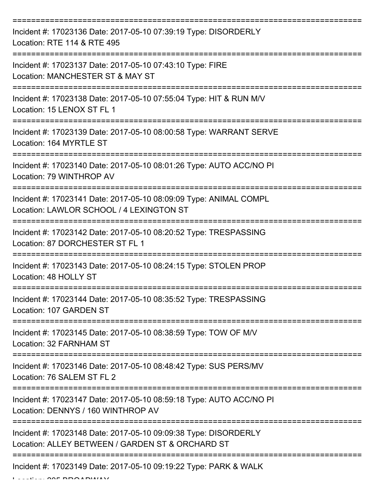| Incident #: 17023136 Date: 2017-05-10 07:39:19 Type: DISORDERLY<br>Location: RTE 114 & RTE 495                      |
|---------------------------------------------------------------------------------------------------------------------|
| Incident #: 17023137 Date: 2017-05-10 07:43:10 Type: FIRE<br>Location: MANCHESTER ST & MAY ST                       |
| Incident #: 17023138 Date: 2017-05-10 07:55:04 Type: HIT & RUN M/V<br>Location: 15 LENOX ST FL 1                    |
| Incident #: 17023139 Date: 2017-05-10 08:00:58 Type: WARRANT SERVE<br>Location: 164 MYRTLE ST                       |
| Incident #: 17023140 Date: 2017-05-10 08:01:26 Type: AUTO ACC/NO PI<br>Location: 79 WINTHROP AV                     |
| Incident #: 17023141 Date: 2017-05-10 08:09:09 Type: ANIMAL COMPL<br>Location: LAWLOR SCHOOL / 4 LEXINGTON ST       |
| Incident #: 17023142 Date: 2017-05-10 08:20:52 Type: TRESPASSING<br>Location: 87 DORCHESTER ST FL 1                 |
| Incident #: 17023143 Date: 2017-05-10 08:24:15 Type: STOLEN PROP<br>Location: 48 HOLLY ST                           |
| Incident #: 17023144 Date: 2017-05-10 08:35:52 Type: TRESPASSING<br>Location: 107 GARDEN ST                         |
| Incident #: 17023145 Date: 2017-05-10 08:38:59 Type: TOW OF M/V<br>Location: 32 FARNHAM ST                          |
| Incident #: 17023146 Date: 2017-05-10 08:48:42 Type: SUS PERS/MV<br>Location: 76 SALEM ST FL 2                      |
| Incident #: 17023147 Date: 2017-05-10 08:59:18 Type: AUTO ACC/NO PI<br>Location: DENNYS / 160 WINTHROP AV           |
| Incident #: 17023148 Date: 2017-05-10 09:09:38 Type: DISORDERLY<br>Location: ALLEY BETWEEN / GARDEN ST & ORCHARD ST |
| Incident #: 17023149 Date: 2017-05-10 09:19:22 Type: PARK & WALK                                                    |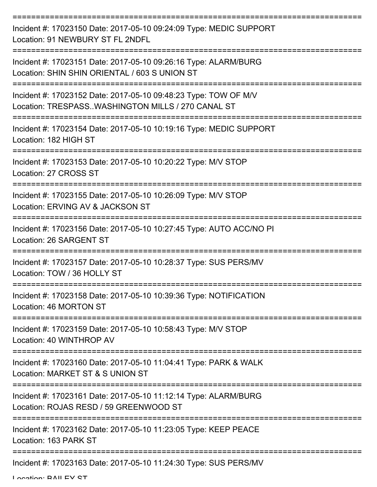| Incident #: 17023150 Date: 2017-05-10 09:24:09 Type: MEDIC SUPPORT<br>Location: 91 NEWBURY ST FL 2NDFL               |
|----------------------------------------------------------------------------------------------------------------------|
| Incident #: 17023151 Date: 2017-05-10 09:26:16 Type: ALARM/BURG<br>Location: SHIN SHIN ORIENTAL / 603 S UNION ST     |
| Incident #: 17023152 Date: 2017-05-10 09:48:23 Type: TOW OF M/V<br>Location: TRESPASSWASHINGTON MILLS / 270 CANAL ST |
| Incident #: 17023154 Date: 2017-05-10 10:19:16 Type: MEDIC SUPPORT<br>Location: 182 HIGH ST                          |
| Incident #: 17023153 Date: 2017-05-10 10:20:22 Type: M/V STOP<br>Location: 27 CROSS ST                               |
| Incident #: 17023155 Date: 2017-05-10 10:26:09 Type: M/V STOP<br>Location: ERVING AV & JACKSON ST                    |
| Incident #: 17023156 Date: 2017-05-10 10:27:45 Type: AUTO ACC/NO PI<br>Location: 26 SARGENT ST                       |
| Incident #: 17023157 Date: 2017-05-10 10:28:37 Type: SUS PERS/MV<br>Location: TOW / 36 HOLLY ST                      |
| Incident #: 17023158 Date: 2017-05-10 10:39:36 Type: NOTIFICATION<br>Location: 46 MORTON ST                          |
| Incident #: 17023159 Date: 2017-05-10 10:58:43 Type: M/V STOP<br>Location: 40 WINTHROP AV                            |
| Incident #: 17023160 Date: 2017-05-10 11:04:41 Type: PARK & WALK<br>Location: MARKET ST & S UNION ST                 |
| Incident #: 17023161 Date: 2017-05-10 11:12:14 Type: ALARM/BURG<br>Location: ROJAS RESD / 59 GREENWOOD ST            |
| Incident #: 17023162 Date: 2017-05-10 11:23:05 Type: KEEP PEACE<br>Location: 163 PARK ST                             |
| Incident #: 17023163 Date: 2017-05-10 11:24:30 Type: SUS PERS/MV                                                     |

Location: DAILEV CT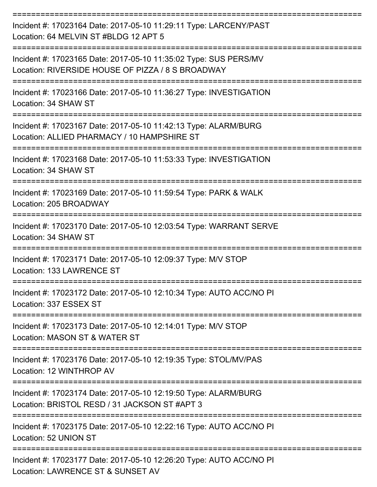| Incident #: 17023164 Date: 2017-05-10 11:29:11 Type: LARCENY/PAST<br>Location: 64 MELVIN ST #BLDG 12 APT 5                |
|---------------------------------------------------------------------------------------------------------------------------|
| Incident #: 17023165 Date: 2017-05-10 11:35:02 Type: SUS PERS/MV<br>Location: RIVERSIDE HOUSE OF PIZZA / 8 S BROADWAY     |
| Incident #: 17023166 Date: 2017-05-10 11:36:27 Type: INVESTIGATION<br>Location: 34 SHAW ST                                |
| Incident #: 17023167 Date: 2017-05-10 11:42:13 Type: ALARM/BURG<br>Location: ALLIED PHARMACY / 10 HAMPSHIRE ST            |
| Incident #: 17023168 Date: 2017-05-10 11:53:33 Type: INVESTIGATION<br>Location: 34 SHAW ST<br>--------------------------- |
| Incident #: 17023169 Date: 2017-05-10 11:59:54 Type: PARK & WALK<br>Location: 205 BROADWAY                                |
| Incident #: 17023170 Date: 2017-05-10 12:03:54 Type: WARRANT SERVE<br>Location: 34 SHAW ST                                |
| Incident #: 17023171 Date: 2017-05-10 12:09:37 Type: M/V STOP<br>Location: 133 LAWRENCE ST                                |
| Incident #: 17023172 Date: 2017-05-10 12:10:34 Type: AUTO ACC/NO PI<br>Location: 337 ESSEX ST                             |
| Incident #: 17023173 Date: 2017-05-10 12:14:01 Type: M/V STOP<br>Location: MASON ST & WATER ST                            |
| Incident #: 17023176 Date: 2017-05-10 12:19:35 Type: STOL/MV/PAS<br>Location: 12 WINTHROP AV                              |
| Incident #: 17023174 Date: 2017-05-10 12:19:50 Type: ALARM/BURG<br>Location: BRISTOL RESD / 31 JACKSON ST #APT 3          |
| Incident #: 17023175 Date: 2017-05-10 12:22:16 Type: AUTO ACC/NO PI<br>Location: 52 UNION ST                              |
| Incident #: 17023177 Date: 2017-05-10 12:26:20 Type: AUTO ACC/NO PI<br>Location: LAWRENCE ST & SUNSET AV                  |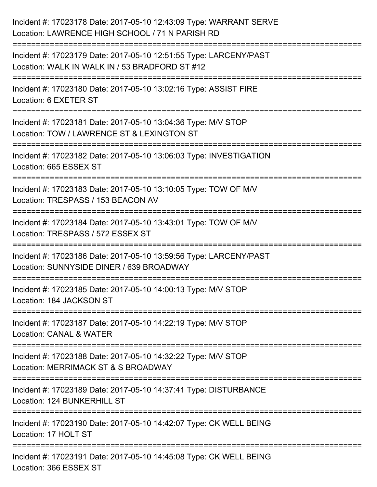| Incident #: 17023178 Date: 2017-05-10 12:43:09 Type: WARRANT SERVE<br>Location: LAWRENCE HIGH SCHOOL / 71 N PARISH RD                    |
|------------------------------------------------------------------------------------------------------------------------------------------|
| Incident #: 17023179 Date: 2017-05-10 12:51:55 Type: LARCENY/PAST<br>Location: WALK IN WALK IN / 53 BRADFORD ST #12                      |
| Incident #: 17023180 Date: 2017-05-10 13:02:16 Type: ASSIST FIRE<br>Location: 6 EXETER ST                                                |
| Incident #: 17023181 Date: 2017-05-10 13:04:36 Type: M/V STOP<br>Location: TOW / LAWRENCE ST & LEXINGTON ST                              |
| Incident #: 17023182 Date: 2017-05-10 13:06:03 Type: INVESTIGATION<br>Location: 665 ESSEX ST                                             |
| Incident #: 17023183 Date: 2017-05-10 13:10:05 Type: TOW OF M/V<br>Location: TRESPASS / 153 BEACON AV<br>------------------------------- |
| :=======================<br>Incident #: 17023184 Date: 2017-05-10 13:43:01 Type: TOW OF M/V<br>Location: TRESPASS / 572 ESSEX ST         |
| Incident #: 17023186 Date: 2017-05-10 13:59:56 Type: LARCENY/PAST<br>Location: SUNNYSIDE DINER / 639 BROADWAY                            |
| Incident #: 17023185 Date: 2017-05-10 14:00:13 Type: M/V STOP<br>Location: 184 JACKSON ST                                                |
| Incident #: 17023187 Date: 2017-05-10 14:22:19 Type: M/V STOP<br>Location: CANAL & WATER                                                 |
| Incident #: 17023188 Date: 2017-05-10 14:32:22 Type: M/V STOP<br>Location: MERRIMACK ST & S BROADWAY                                     |
| Incident #: 17023189 Date: 2017-05-10 14:37:41 Type: DISTURBANCE<br>Location: 124 BUNKERHILL ST                                          |
| Incident #: 17023190 Date: 2017-05-10 14:42:07 Type: CK WELL BEING<br>Location: 17 HOLT ST                                               |
| Incident #: 17023191 Date: 2017-05-10 14:45:08 Type: CK WELL BEING<br>Location: 366 ESSEX ST                                             |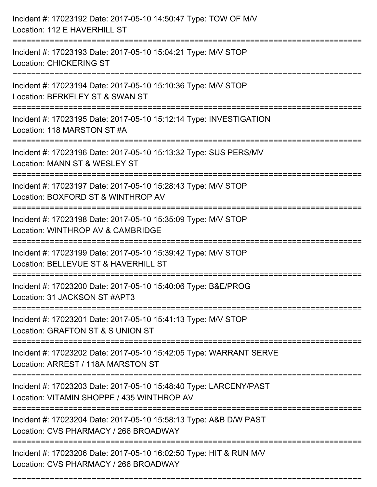| Incident #: 17023192 Date: 2017-05-10 14:50:47 Type: TOW OF M/V<br>Location: 112 E HAVERHILL ST                                       |
|---------------------------------------------------------------------------------------------------------------------------------------|
| Incident #: 17023193 Date: 2017-05-10 15:04:21 Type: M/V STOP<br><b>Location: CHICKERING ST</b>                                       |
| Incident #: 17023194 Date: 2017-05-10 15:10:36 Type: M/V STOP<br>Location: BERKELEY ST & SWAN ST<br>.-------------------------        |
| Incident #: 17023195 Date: 2017-05-10 15:12:14 Type: INVESTIGATION<br>Location: 118 MARSTON ST #A                                     |
| Incident #: 17023196 Date: 2017-05-10 15:13:32 Type: SUS PERS/MV<br>Location: MANN ST & WESLEY ST                                     |
| Incident #: 17023197 Date: 2017-05-10 15:28:43 Type: M/V STOP<br>Location: BOXFORD ST & WINTHROP AV                                   |
| Incident #: 17023198 Date: 2017-05-10 15:35:09 Type: M/V STOP<br>Location: WINTHROP AV & CAMBRIDGE                                    |
| Incident #: 17023199 Date: 2017-05-10 15:39:42 Type: M/V STOP<br>Location: BELLEVUE ST & HAVERHILL ST                                 |
| Incident #: 17023200 Date: 2017-05-10 15:40:06 Type: B&E/PROG<br>Location: 31 JACKSON ST #APT3                                        |
| Incident #: 17023201 Date: 2017-05-10 15:41:13 Type: M/V STOP<br>Location: GRAFTON ST & S UNION ST                                    |
| Incident #: 17023202 Date: 2017-05-10 15:42:05 Type: WARRANT SERVE<br>Location: ARREST / 118A MARSTON ST<br>:======================== |
| Incident #: 17023203 Date: 2017-05-10 15:48:40 Type: LARCENY/PAST<br>Location: VITAMIN SHOPPE / 435 WINTHROP AV                       |
| Incident #: 17023204 Date: 2017-05-10 15:58:13 Type: A&B D/W PAST<br>Location: CVS PHARMACY / 266 BROADWAY                            |
| Incident #: 17023206 Date: 2017-05-10 16:02:50 Type: HIT & RUN M/V<br>Location: CVS PHARMACY / 266 BROADWAY                           |

===========================================================================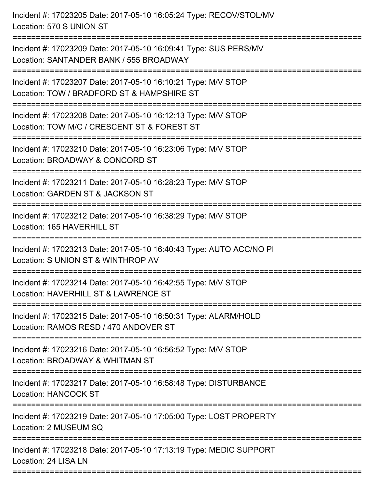Incident #: 17023205 Date: 2017-05-10 16:05:24 Type: RECOV/STOL/MV Location: 570 S UNION ST =========================================================================== Incident #: 17023209 Date: 2017-05-10 16:09:41 Type: SUS PERS/MV Location: SANTANDER BANK / 555 BROADWAY =========================================================================== Incident #: 17023207 Date: 2017-05-10 16:10:21 Type: M/V STOP Location: TOW / BRADFORD ST & HAMPSHIRE ST =========================================================================== Incident #: 17023208 Date: 2017-05-10 16:12:13 Type: M/V STOP Location: TOW M/C / CRESCENT ST & FOREST ST =========================================================================== Incident #: 17023210 Date: 2017-05-10 16:23:06 Type: M/V STOP Location: BROADWAY & CONCORD ST =========================================================================== Incident #: 17023211 Date: 2017-05-10 16:28:23 Type: M/V STOP Location: GARDEN ST & JACKSON ST =========================================================================== Incident #: 17023212 Date: 2017-05-10 16:38:29 Type: M/V STOP Location: 165 HAVERHILL ST =========================================================================== Incident #: 17023213 Date: 2017-05-10 16:40:43 Type: AUTO ACC/NO PI Location: S UNION ST & WINTHROP AV =========================================================================== Incident #: 17023214 Date: 2017-05-10 16:42:55 Type: M/V STOP Location: HAVERHILL ST & LAWRENCE ST =========================================================================== Incident #: 17023215 Date: 2017-05-10 16:50:31 Type: ALARM/HOLD Location: RAMOS RESD / 470 ANDOVER ST =========================================================================== Incident #: 17023216 Date: 2017-05-10 16:56:52 Type: M/V STOP Location: BROADWAY & WHITMAN ST =========================================================================== Incident #: 17023217 Date: 2017-05-10 16:58:48 Type: DISTURBANCE Location: HANCOCK ST =========================================================================== Incident #: 17023219 Date: 2017-05-10 17:05:00 Type: LOST PROPERTY Location: 2 MUSEUM SQ =========================================================================== Incident #: 17023218 Date: 2017-05-10 17:13:19 Type: MEDIC SUPPORT Location: 24 LISA LN

===========================================================================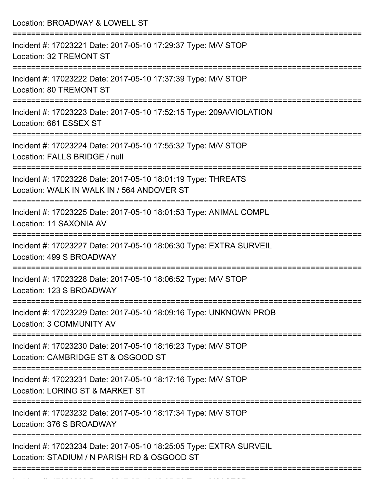| Location: BROADWAY & LOWELL ST                                                                                         |
|------------------------------------------------------------------------------------------------------------------------|
| Incident #: 17023221 Date: 2017-05-10 17:29:37 Type: M/V STOP<br>Location: 32 TREMONT ST<br>===============            |
| Incident #: 17023222 Date: 2017-05-10 17:37:39 Type: M/V STOP<br><b>Location: 80 TREMONT ST</b>                        |
| Incident #: 17023223 Date: 2017-05-10 17:52:15 Type: 209A/VIOLATION<br>Location: 661 ESSEX ST<br>--------------------- |
| Incident #: 17023224 Date: 2017-05-10 17:55:32 Type: M/V STOP<br>Location: FALLS BRIDGE / null                         |
| Incident #: 17023226 Date: 2017-05-10 18:01:19 Type: THREATS<br>Location: WALK IN WALK IN / 564 ANDOVER ST             |
| Incident #: 17023225 Date: 2017-05-10 18:01:53 Type: ANIMAL COMPL<br>Location: 11 SAXONIA AV                           |
| Incident #: 17023227 Date: 2017-05-10 18:06:30 Type: EXTRA SURVEIL<br>Location: 499 S BROADWAY                         |
| Incident #: 17023228 Date: 2017-05-10 18:06:52 Type: M/V STOP<br>Location: 123 S BROADWAY                              |
| Incident #: 17023229 Date: 2017-05-10 18:09:16 Type: UNKNOWN PROB<br>Location: 3 COMMUNITY AV                          |
| Incident #: 17023230 Date: 2017-05-10 18:16:23 Type: M/V STOP<br>Location: CAMBRIDGE ST & OSGOOD ST                    |
| Incident #: 17023231 Date: 2017-05-10 18:17:16 Type: M/V STOP<br>Location: LORING ST & MARKET ST                       |
| Incident #: 17023232 Date: 2017-05-10 18:17:34 Type: M/V STOP<br>Location: 376 S BROADWAY                              |
| Incident #: 17023234 Date: 2017-05-10 18:25:05 Type: EXTRA SURVEIL<br>Location: STADIUM / N PARISH RD & OSGOOD ST      |

Incident #: 17023233 Date: 2017 05 10 18:25:58 Type: M/V STOP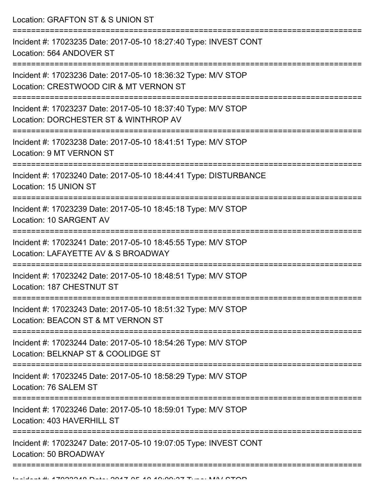Location: GRAFTON ST & S UNION ST

| Incident #: 17023235 Date: 2017-05-10 18:27:40 Type: INVEST CONT<br>Location: 564 ANDOVER ST                                       |
|------------------------------------------------------------------------------------------------------------------------------------|
| Incident #: 17023236 Date: 2017-05-10 18:36:32 Type: M/V STOP<br>Location: CRESTWOOD CIR & MT VERNON ST                            |
| Incident #: 17023237 Date: 2017-05-10 18:37:40 Type: M/V STOP<br>Location: DORCHESTER ST & WINTHROP AV                             |
| Incident #: 17023238 Date: 2017-05-10 18:41:51 Type: M/V STOP<br>Location: 9 MT VERNON ST                                          |
| Incident #: 17023240 Date: 2017-05-10 18:44:41 Type: DISTURBANCE<br>Location: 15 UNION ST                                          |
| Incident #: 17023239 Date: 2017-05-10 18:45:18 Type: M/V STOP<br>Location: 10 SARGENT AV                                           |
| Incident #: 17023241 Date: 2017-05-10 18:45:55 Type: M/V STOP<br>Location: LAFAYETTE AV & S BROADWAY                               |
| Incident #: 17023242 Date: 2017-05-10 18:48:51 Type: M/V STOP<br>Location: 187 CHESTNUT ST                                         |
| Incident #: 17023243 Date: 2017-05-10 18:51:32 Type: M/V STOP<br>Location: BEACON ST & MT VERNON ST                                |
| Incident #: 17023244 Date: 2017-05-10 18:54:26 Type: M/V STOP<br>Location: BELKNAP ST & COOLIDGE ST                                |
| Incident #: 17023245 Date: 2017-05-10 18:58:29 Type: M/V STOP<br>Location: 76 SALEM ST                                             |
| ===================================<br>Incident #: 17023246 Date: 2017-05-10 18:59:01 Type: M/V STOP<br>Location: 403 HAVERHILL ST |
| Incident #: 17023247 Date: 2017-05-10 19:07:05 Type: INVEST CONT<br>Location: 50 BROADWAY                                          |
|                                                                                                                                    |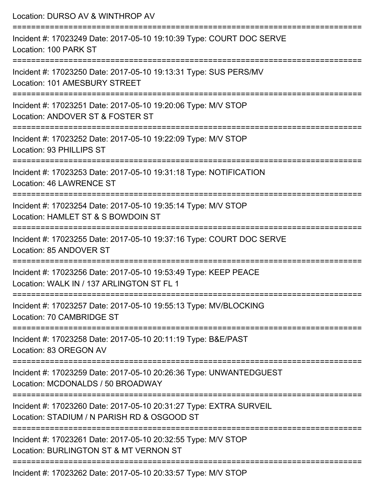| Location: DURSO AV & WINTHROP AV                                                                                                    |
|-------------------------------------------------------------------------------------------------------------------------------------|
| Incident #: 17023249 Date: 2017-05-10 19:10:39 Type: COURT DOC SERVE<br>Location: 100 PARK ST                                       |
| Incident #: 17023250 Date: 2017-05-10 19:13:31 Type: SUS PERS/MV<br>Location: 101 AMESBURY STREET<br>:======================        |
| Incident #: 17023251 Date: 2017-05-10 19:20:06 Type: M/V STOP<br>Location: ANDOVER ST & FOSTER ST                                   |
| Incident #: 17023252 Date: 2017-05-10 19:22:09 Type: M/V STOP<br>Location: 93 PHILLIPS ST                                           |
| Incident #: 17023253 Date: 2017-05-10 19:31:18 Type: NOTIFICATION<br><b>Location: 46 LAWRENCE ST</b>                                |
| Incident #: 17023254 Date: 2017-05-10 19:35:14 Type: M/V STOP<br>Location: HAMLET ST & S BOWDOIN ST<br>----------------------       |
| Incident #: 17023255 Date: 2017-05-10 19:37:16 Type: COURT DOC SERVE<br>Location: 85 ANDOVER ST                                     |
| Incident #: 17023256 Date: 2017-05-10 19:53:49 Type: KEEP PEACE<br>Location: WALK IN / 137 ARLINGTON ST FL 1                        |
| Incident #: 17023257 Date: 2017-05-10 19:55:13 Type: MV/BLOCKING<br>Location: 70 CAMBRIDGE ST                                       |
| Incident #: 17023258 Date: 2017-05-10 20:11:19 Type: B&E/PAST<br>Location: 83 OREGON AV                                             |
| Incident #: 17023259 Date: 2017-05-10 20:26:36 Type: UNWANTEDGUEST<br>Location: MCDONALDS / 50 BROADWAY                             |
| --------------<br>Incident #: 17023260 Date: 2017-05-10 20:31:27 Type: EXTRA SURVEIL<br>Location: STADIUM / N PARISH RD & OSGOOD ST |
| Incident #: 17023261 Date: 2017-05-10 20:32:55 Type: M/V STOP<br>Location: BURLINGTON ST & MT VERNON ST                             |
|                                                                                                                                     |

Incident #: 17023262 Date: 2017-05-10 20:33:57 Type: M/V STOP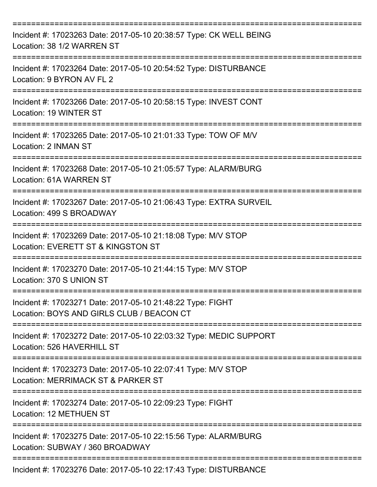| Incident #: 17023263 Date: 2017-05-10 20:38:57 Type: CK WELL BEING<br>Location: 38 1/2 WARREN ST        |
|---------------------------------------------------------------------------------------------------------|
| Incident #: 17023264 Date: 2017-05-10 20:54:52 Type: DISTURBANCE<br>Location: 9 BYRON AV FL 2           |
| Incident #: 17023266 Date: 2017-05-10 20:58:15 Type: INVEST CONT<br>Location: 19 WINTER ST              |
| Incident #: 17023265 Date: 2017-05-10 21:01:33 Type: TOW OF M/V<br>Location: 2 INMAN ST                 |
| Incident #: 17023268 Date: 2017-05-10 21:05:57 Type: ALARM/BURG<br><b>Location: 61A WARREN ST</b>       |
| Incident #: 17023267 Date: 2017-05-10 21:06:43 Type: EXTRA SURVEIL<br>Location: 499 S BROADWAY          |
| Incident #: 17023269 Date: 2017-05-10 21:18:08 Type: M/V STOP<br>Location: EVERETT ST & KINGSTON ST     |
| Incident #: 17023270 Date: 2017-05-10 21:44:15 Type: M/V STOP<br>Location: 370 S UNION ST               |
| Incident #: 17023271 Date: 2017-05-10 21:48:22 Type: FIGHT<br>Location: BOYS AND GIRLS CLUB / BEACON CT |
| Incident #: 17023272 Date: 2017-05-10 22:03:32 Type: MEDIC SUPPORT<br>Location: 526 HAVERHILL ST        |
| Incident #: 17023273 Date: 2017-05-10 22:07:41 Type: M/V STOP<br>Location: MERRIMACK ST & PARKER ST     |
| Incident #: 17023274 Date: 2017-05-10 22:09:23 Type: FIGHT<br>Location: 12 METHUEN ST                   |
| Incident #: 17023275 Date: 2017-05-10 22:15:56 Type: ALARM/BURG<br>Location: SUBWAY / 360 BROADWAY      |
| Incident #: 17023276 Date: 2017-05-10 22:17:43 Type: DISTURBANCE                                        |